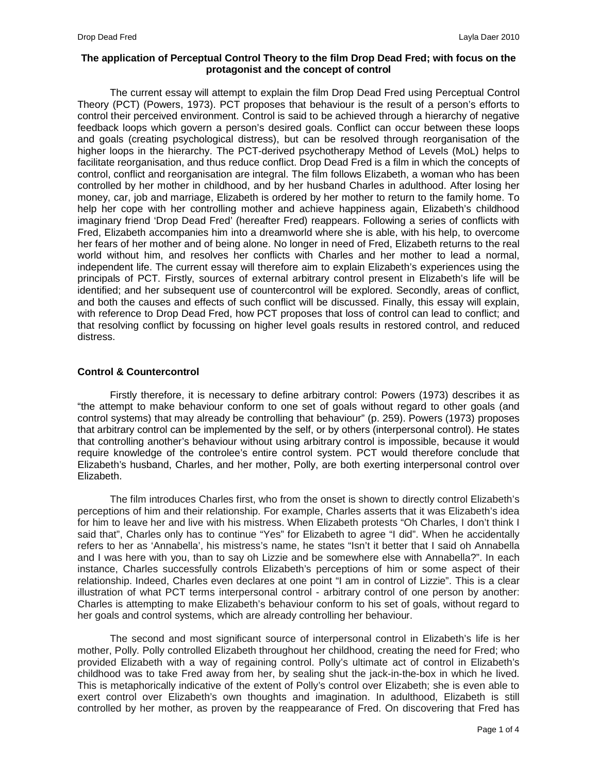# **The application of Perceptual Control Theory to the film Drop Dead Fred; with focus on the protagonist and the concept of control**

The current essay will attempt to explain the film Drop Dead Fred using Perceptual Control Theory (PCT) (Powers, 1973). PCT proposes that behaviour is the result of a person's efforts to control their perceived environment. Control is said to be achieved through a hierarchy of negative feedback loops which govern a person's desired goals. Conflict can occur between these loops and goals (creating psychological distress), but can be resolved through reorganisation of the higher loops in the hierarchy. The PCT-derived psychotherapy Method of Levels (MoL) helps to facilitate reorganisation, and thus reduce conflict. Drop Dead Fred is a film in which the concepts of control, conflict and reorganisation are integral. The film follows Elizabeth, a woman who has been controlled by her mother in childhood, and by her husband Charles in adulthood. After losing her money, car, job and marriage, Elizabeth is ordered by her mother to return to the family home. To help her cope with her controlling mother and achieve happiness again, Elizabeth's childhood imaginary friend 'Drop Dead Fred' (hereafter Fred) reappears. Following a series of conflicts with Fred, Elizabeth accompanies him into a dreamworld where she is able, with his help, to overcome her fears of her mother and of being alone. No longer in need of Fred, Elizabeth returns to the real world without him, and resolves her conflicts with Charles and her mother to lead a normal, independent life. The current essay will therefore aim to explain Elizabeth's experiences using the principals of PCT. Firstly, sources of external arbitrary control present in Elizabeth's life will be identified; and her subsequent use of countercontrol will be explored. Secondly, areas of conflict, and both the causes and effects of such conflict will be discussed. Finally, this essay will explain, with reference to Drop Dead Fred, how PCT proposes that loss of control can lead to conflict; and that resolving conflict by focussing on higher level goals results in restored control, and reduced distress.

# **Control & Countercontrol**

Firstly therefore, it is necessary to define arbitrary control: Powers (1973) describes it as "the attempt to make behaviour conform to one set of goals without regard to other goals (and control systems) that may already be controlling that behaviour" (p. 259). Powers (1973) proposes that arbitrary control can be implemented by the self, or by others (interpersonal control). He states that controlling another's behaviour without using arbitrary control is impossible, because it would require knowledge of the controlee's entire control system. PCT would therefore conclude that Elizabeth's husband, Charles, and her mother, Polly, are both exerting interpersonal control over Elizabeth.

The film introduces Charles first, who from the onset is shown to directly control Elizabeth's perceptions of him and their relationship. For example, Charles asserts that it was Elizabeth's idea for him to leave her and live with his mistress. When Elizabeth protests "Oh Charles, I don't think I said that", Charles only has to continue "Yes" for Elizabeth to agree "I did". When he accidentally refers to her as 'Annabella', his mistress's name, he states "Isn't it better that I said oh Annabella and I was here with you, than to say oh Lizzie and be somewhere else with Annabella?". In each instance, Charles successfully controls Elizabeth's perceptions of him or some aspect of their relationship. Indeed, Charles even declares at one point "I am in control of Lizzie". This is a clear illustration of what PCT terms interpersonal control - arbitrary control of one person by another: Charles is attempting to make Elizabeth's behaviour conform to his set of goals, without regard to her goals and control systems, which are already controlling her behaviour.

The second and most significant source of interpersonal control in Elizabeth's life is her mother, Polly. Polly controlled Elizabeth throughout her childhood, creating the need for Fred; who provided Elizabeth with a way of regaining control. Polly's ultimate act of control in Elizabeth's childhood was to take Fred away from her, by sealing shut the jack-in-the-box in which he lived. This is metaphorically indicative of the extent of Polly's control over Elizabeth; she is even able to exert control over Elizabeth's own thoughts and imagination. In adulthood, Elizabeth is still controlled by her mother, as proven by the reappearance of Fred. On discovering that Fred has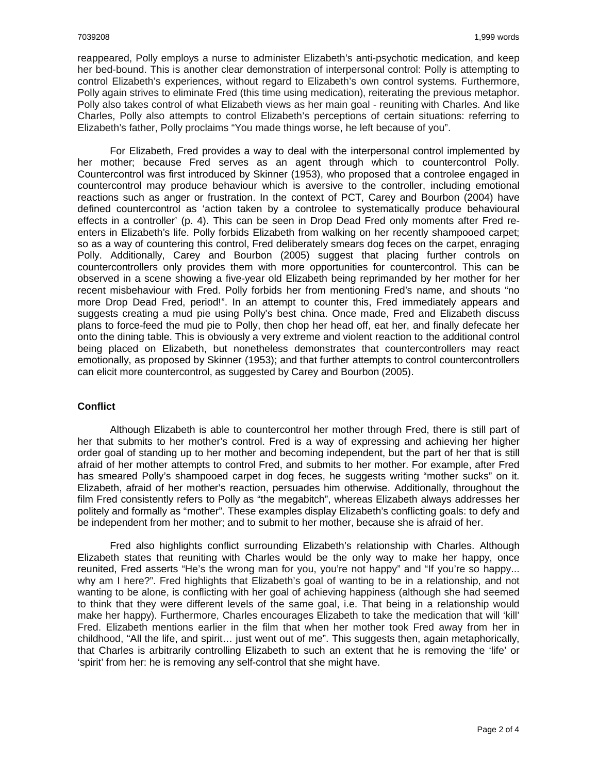reappeared, Polly employs a nurse to administer Elizabeth's anti-psychotic medication, and keep her bed-bound. This is another clear demonstration of interpersonal control: Polly is attempting to control Elizabeth's experiences, without regard to Elizabeth's own control systems. Furthermore, Polly again strives to eliminate Fred (this time using medication), reiterating the previous metaphor. Polly also takes control of what Elizabeth views as her main goal - reuniting with Charles. And like Charles, Polly also attempts to control Elizabeth's perceptions of certain situations: referring to Elizabeth's father, Polly proclaims "You made things worse, he left because of you".

For Elizabeth, Fred provides a way to deal with the interpersonal control implemented by her mother; because Fred serves as an agent through which to countercontrol Polly. Countercontrol was first introduced by Skinner (1953), who proposed that a controlee engaged in countercontrol may produce behaviour which is aversive to the controller, including emotional reactions such as anger or frustration. In the context of PCT, Carey and Bourbon (2004) have defined countercontrol as 'action taken by a controlee to systematically produce behavioural effects in a controller' (p. 4). This can be seen in Drop Dead Fred only moments after Fred reenters in Elizabeth's life. Polly forbids Elizabeth from walking on her recently shampooed carpet; so as a way of countering this control, Fred deliberately smears dog feces on the carpet, enraging Polly. Additionally, Carey and Bourbon (2005) suggest that placing further controls on countercontrollers only provides them with more opportunities for countercontrol. This can be observed in a scene showing a five-year old Elizabeth being reprimanded by her mother for her recent misbehaviour with Fred. Polly forbids her from mentioning Fred's name, and shouts "no more Drop Dead Fred, period!". In an attempt to counter this, Fred immediately appears and suggests creating a mud pie using Polly's best china. Once made, Fred and Elizabeth discuss plans to force-feed the mud pie to Polly, then chop her head off, eat her, and finally defecate her onto the dining table. This is obviously a very extreme and violent reaction to the additional control being placed on Elizabeth, but nonetheless demonstrates that countercontrollers may react emotionally, as proposed by Skinner (1953); and that further attempts to control countercontrollers can elicit more countercontrol, as suggested by Carey and Bourbon (2005).

## **Conflict**

Although Elizabeth is able to countercontrol her mother through Fred, there is still part of her that submits to her mother's control. Fred is a way of expressing and achieving her higher order goal of standing up to her mother and becoming independent, but the part of her that is still afraid of her mother attempts to control Fred, and submits to her mother. For example, after Fred has smeared Polly's shampooed carpet in dog feces, he suggests writing "mother sucks" on it. Elizabeth, afraid of her mother's reaction, persuades him otherwise. Additionally, throughout the film Fred consistently refers to Polly as "the megabitch", whereas Elizabeth always addresses her politely and formally as "mother". These examples display Elizabeth's conflicting goals: to defy and be independent from her mother; and to submit to her mother, because she is afraid of her.

Fred also highlights conflict surrounding Elizabeth's relationship with Charles. Although Elizabeth states that reuniting with Charles would be the only way to make her happy, once reunited, Fred asserts "He's the wrong man for you, you're not happy" and "If you're so happy... why am I here?". Fred highlights that Elizabeth's goal of wanting to be in a relationship, and not wanting to be alone, is conflicting with her goal of achieving happiness (although she had seemed to think that they were different levels of the same goal, i.e. That being in a relationship would make her happy). Furthermore, Charles encourages Elizabeth to take the medication that will 'kill' Fred. Elizabeth mentions earlier in the film that when her mother took Fred away from her in childhood, "All the life, and spirit… just went out of me". This suggests then, again metaphorically, that Charles is arbitrarily controlling Elizabeth to such an extent that he is removing the 'life' or 'spirit' from her: he is removing any self-control that she might have.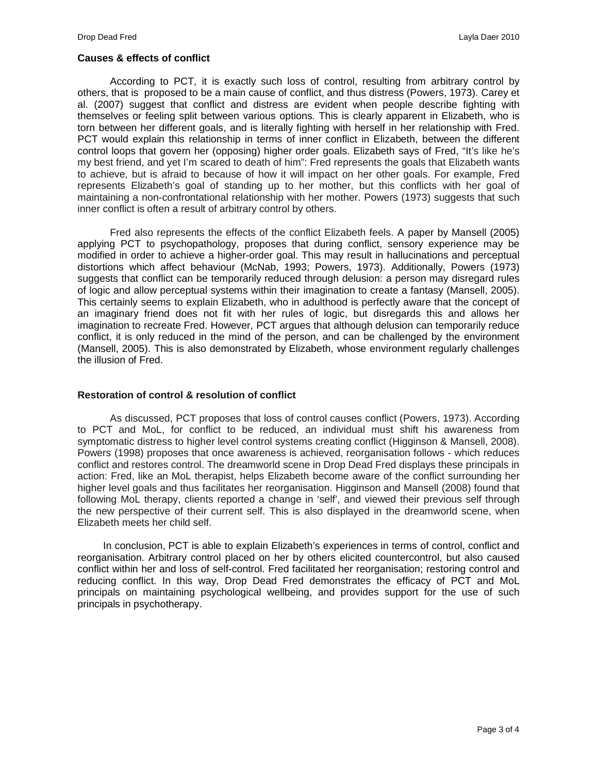# **Causes & effects of conflict**

According to PCT, it is exactly such loss of control, resulting from arbitrary control by others, that is proposed to be a main cause of conflict, and thus distress (Powers, 1973). Carey et al. (2007) suggest that conflict and distress are evident when people describe fighting with themselves or feeling split between various options. This is clearly apparent in Elizabeth, who is torn between her different goals, and is literally fighting with herself in her relationship with Fred. PCT would explain this relationship in terms of inner conflict in Elizabeth, between the different control loops that govern her (opposing) higher order goals. Elizabeth says of Fred, "It's like he's my best friend, and yet I'm scared to death of him": Fred represents the goals that Elizabeth wants to achieve, but is afraid to because of how it will impact on her other goals. For example, Fred represents Elizabeth's goal of standing up to her mother, but this conflicts with her goal of maintaining a non-confrontational relationship with her mother. Powers (1973) suggests that such inner conflict is often a result of arbitrary control by others.

Fred also represents the effects of the conflict Elizabeth feels. A paper by Mansell (2005) applying PCT to psychopathology, proposes that during conflict, sensory experience may be modified in order to achieve a higher-order goal. This may result in hallucinations and perceptual distortions which affect behaviour (McNab, 1993; Powers, 1973). Additionally, Powers (1973) suggests that conflict can be temporarily reduced through delusion: a person may disregard rules of logic and allow perceptual systems within their imagination to create a fantasy (Mansell, 2005). This certainly seems to explain Elizabeth, who in adulthood is perfectly aware that the concept of an imaginary friend does not fit with her rules of logic, but disregards this and allows her imagination to recreate Fred. However, PCT argues that although delusion can temporarily reduce conflict, it is only reduced in the mind of the person, and can be challenged by the environment (Mansell, 2005). This is also demonstrated by Elizabeth, whose environment regularly challenges the illusion of Fred.

## **Restoration of control & resolution of conflict**

As discussed, PCT proposes that loss of control causes conflict (Powers, 1973). According to PCT and MoL, for conflict to be reduced, an individual must shift his awareness from symptomatic distress to higher level control systems creating conflict (Higginson & Mansell, 2008). Powers (1998) proposes that once awareness is achieved, reorganisation follows - which reduces conflict and restores control. The dreamworld scene in Drop Dead Fred displays these principals in action: Fred, like an MoL therapist, helps Elizabeth become aware of the conflict surrounding her higher level goals and thus facilitates her reorganisation. Higginson and Mansell (2008) found that following MoL therapy, clients reported a change in 'self', and viewed their previous self through the new perspective of their current self. This is also displayed in the dreamworld scene, when Elizabeth meets her child self.

In conclusion, PCT is able to explain Elizabeth's experiences in terms of control, conflict and reorganisation. Arbitrary control placed on her by others elicited countercontrol, but also caused conflict within her and loss of self-control. Fred facilitated her reorganisation; restoring control and reducing conflict. In this way, Drop Dead Fred demonstrates the efficacy of PCT and MoL principals on maintaining psychological wellbeing, and provides support for the use of such principals in psychotherapy.